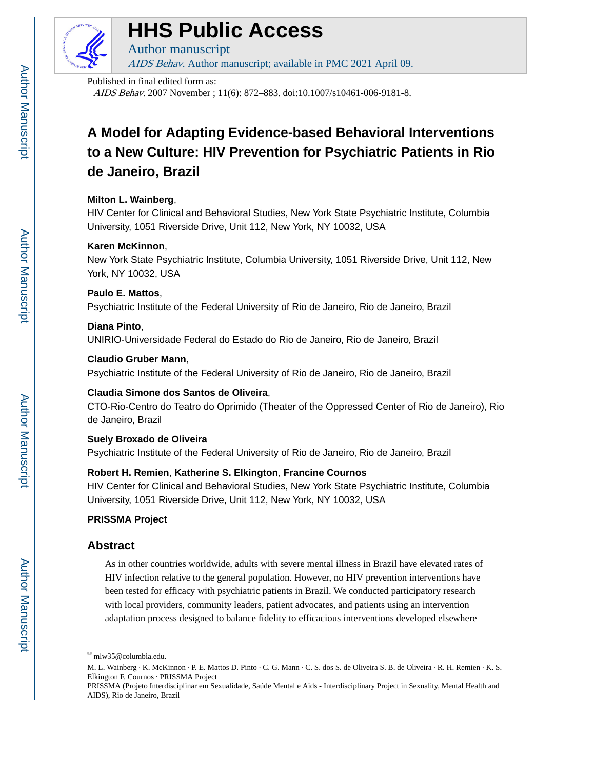

# **HHS Public Access**

Author manuscript AIDS Behav. Author manuscript; available in PMC 2021 April 09.

#### Published in final edited form as:

AIDS Behav. 2007 November ; 11(6): 872–883. doi:10.1007/s10461-006-9181-8.

# **A Model for Adapting Evidence-based Behavioral Interventions to a New Culture: HIV Prevention for Psychiatric Patients in Rio de Janeiro, Brazil**

# **Milton L. Wainberg**,

HIV Center for Clinical and Behavioral Studies, New York State Psychiatric Institute, Columbia University, 1051 Riverside Drive, Unit 112, New York, NY 10032, USA

### **Karen McKinnon**,

New York State Psychiatric Institute, Columbia University, 1051 Riverside Drive, Unit 112, New York, NY 10032, USA

# **Paulo E. Mattos**,

Psychiatric Institute of the Federal University of Rio de Janeiro, Rio de Janeiro, Brazil

# **Diana Pinto**,

UNIRIO-Universidade Federal do Estado do Rio de Janeiro, Rio de Janeiro, Brazil

# **Claudio Gruber Mann**,

Psychiatric Institute of the Federal University of Rio de Janeiro, Rio de Janeiro, Brazil

# **Claudia Simone dos Santos de Oliveira**,

CTO-Rio-Centro do Teatro do Oprimido (Theater of the Oppressed Center of Rio de Janeiro), Rio de Janeiro, Brazil

### **Suely Broxado de Oliveira**

Psychiatric Institute of the Federal University of Rio de Janeiro, Rio de Janeiro, Brazil

# **Robert H. Remien**, **Katherine S. Elkington**, **Francine Cournos**

HIV Center for Clinical and Behavioral Studies, New York State Psychiatric Institute, Columbia University, 1051 Riverside Drive, Unit 112, New York, NY 10032, USA

# **PRISSMA Project**

# **Abstract**

As in other countries worldwide, adults with severe mental illness in Brazil have elevated rates of HIV infection relative to the general population. However, no HIV prevention interventions have been tested for efficacy with psychiatric patients in Brazil. We conducted participatory research with local providers, community leaders, patient advocates, and patients using an intervention adaptation process designed to balance fidelity to efficacious interventions developed elsewhere

<sup>✉</sup> mlw35@columbia.edu.

M. L. Wainberg · K. McKinnon · P. E. Mattos D. Pinto · C. G. Mann · C. S. dos S. de Oliveira S. B. de Oliveira · R. H. Remien · K. S. Elkington F. Cournos · PRISSMA Project

PRISSMA (Projeto Interdisciplinar em Sexualidade, Saúde Mental e Aids - Interdisciplinary Project in Sexuality, Mental Health and AIDS), Rio de Janeiro, Brazil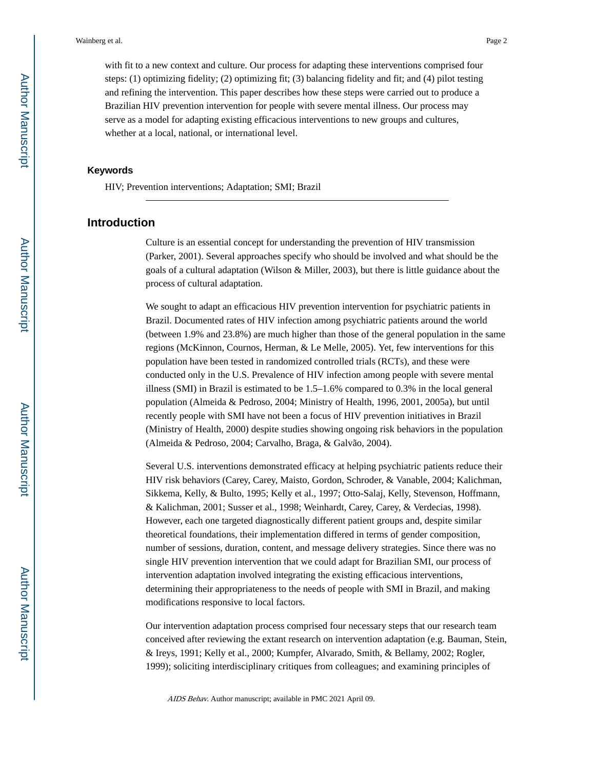with fit to a new context and culture. Our process for adapting these interventions comprised four steps: (1) optimizing fidelity; (2) optimizing fit; (3) balancing fidelity and fit; and (4) pilot testing and refining the intervention. This paper describes how these steps were carried out to produce a Brazilian HIV prevention intervention for people with severe mental illness. Our process may serve as a model for adapting existing efficacious interventions to new groups and cultures, whether at a local, national, or international level.

#### **Keywords**

HIV; Prevention interventions; Adaptation; SMI; Brazil

## **Introduction**

Culture is an essential concept for understanding the prevention of HIV transmission (Parker, 2001). Several approaches specify who should be involved and what should be the goals of a cultural adaptation (Wilson & Miller, 2003), but there is little guidance about the process of cultural adaptation.

We sought to adapt an efficacious HIV prevention intervention for psychiatric patients in Brazil. Documented rates of HIV infection among psychiatric patients around the world (between 1.9% and 23.8%) are much higher than those of the general population in the same regions (McKinnon, Cournos, Herman, & Le Melle, 2005). Yet, few interventions for this population have been tested in randomized controlled trials (RCTs), and these were conducted only in the U.S. Prevalence of HIV infection among people with severe mental illness (SMI) in Brazil is estimated to be 1.5–1.6% compared to 0.3% in the local general population (Almeida & Pedroso, 2004; Ministry of Health, 1996, 2001, 2005a), but until recently people with SMI have not been a focus of HIV prevention initiatives in Brazil (Ministry of Health, 2000) despite studies showing ongoing risk behaviors in the population (Almeida & Pedroso, 2004; Carvalho, Braga, & Galvão, 2004).

Several U.S. interventions demonstrated efficacy at helping psychiatric patients reduce their HIV risk behaviors (Carey, Carey, Maisto, Gordon, Schroder, & Vanable, 2004; Kalichman, Sikkema, Kelly, & Bulto, 1995; Kelly et al., 1997; Otto-Salaj, Kelly, Stevenson, Hoffmann, & Kalichman, 2001; Susser et al., 1998; Weinhardt, Carey, Carey, & Verdecias, 1998). However, each one targeted diagnostically different patient groups and, despite similar theoretical foundations, their implementation differed in terms of gender composition, number of sessions, duration, content, and message delivery strategies. Since there was no single HIV prevention intervention that we could adapt for Brazilian SMI, our process of intervention adaptation involved integrating the existing efficacious interventions, determining their appropriateness to the needs of people with SMI in Brazil, and making modifications responsive to local factors.

Our intervention adaptation process comprised four necessary steps that our research team conceived after reviewing the extant research on intervention adaptation (e.g. Bauman, Stein, & Ireys, 1991; Kelly et al., 2000; Kumpfer, Alvarado, Smith, & Bellamy, 2002; Rogler, 1999); soliciting interdisciplinary critiques from colleagues; and examining principles of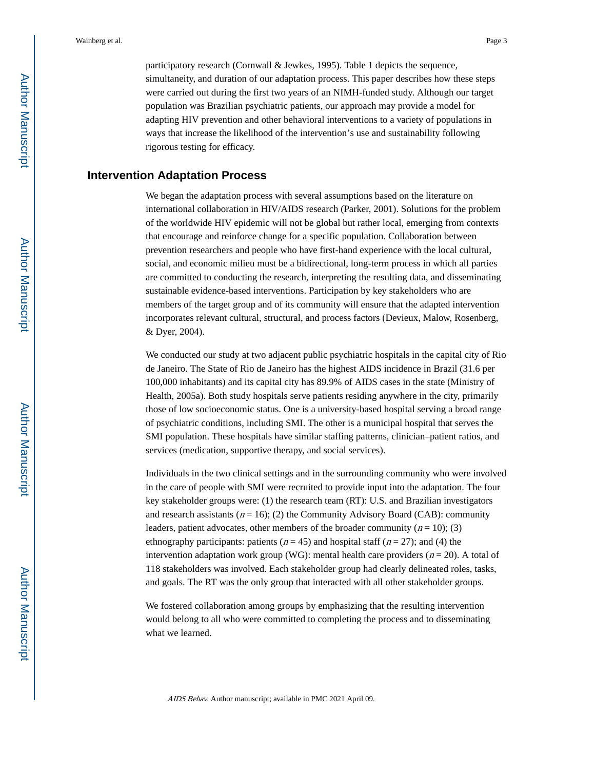participatory research (Cornwall & Jewkes, 1995). Table 1 depicts the sequence, simultaneity, and duration of our adaptation process. This paper describes how these steps were carried out during the first two years of an NIMH-funded study. Although our target population was Brazilian psychiatric patients, our approach may provide a model for adapting HIV prevention and other behavioral interventions to a variety of populations in ways that increase the likelihood of the intervention's use and sustainability following rigorous testing for efficacy.

#### **Intervention Adaptation Process**

We began the adaptation process with several assumptions based on the literature on international collaboration in HIV/AIDS research (Parker, 2001). Solutions for the problem of the worldwide HIV epidemic will not be global but rather local, emerging from contexts that encourage and reinforce change for a specific population. Collaboration between prevention researchers and people who have first-hand experience with the local cultural, social, and economic milieu must be a bidirectional, long-term process in which all parties are committed to conducting the research, interpreting the resulting data, and disseminating sustainable evidence-based interventions. Participation by key stakeholders who are members of the target group and of its community will ensure that the adapted intervention incorporates relevant cultural, structural, and process factors (Devieux, Malow, Rosenberg, & Dyer, 2004).

We conducted our study at two adjacent public psychiatric hospitals in the capital city of Rio de Janeiro. The State of Rio de Janeiro has the highest AIDS incidence in Brazil (31.6 per 100,000 inhabitants) and its capital city has 89.9% of AIDS cases in the state (Ministry of Health, 2005a). Both study hospitals serve patients residing anywhere in the city, primarily those of low socioeconomic status. One is a university-based hospital serving a broad range of psychiatric conditions, including SMI. The other is a municipal hospital that serves the SMI population. These hospitals have similar staffing patterns, clinician–patient ratios, and services (medication, supportive therapy, and social services).

Individuals in the two clinical settings and in the surrounding community who were involved in the care of people with SMI were recruited to provide input into the adaptation. The four key stakeholder groups were: (1) the research team (RT): U.S. and Brazilian investigators and research assistants ( $n = 16$ ); (2) the Community Advisory Board (CAB): community leaders, patient advocates, other members of the broader community ( $n = 10$ ); (3) ethnography participants: patients ( $n = 45$ ) and hospital staff ( $n = 27$ ); and (4) the intervention adaptation work group (WG): mental health care providers ( $n = 20$ ). A total of 118 stakeholders was involved. Each stakeholder group had clearly delineated roles, tasks, and goals. The RT was the only group that interacted with all other stakeholder groups.

We fostered collaboration among groups by emphasizing that the resulting intervention would belong to all who were committed to completing the process and to disseminating what we learned.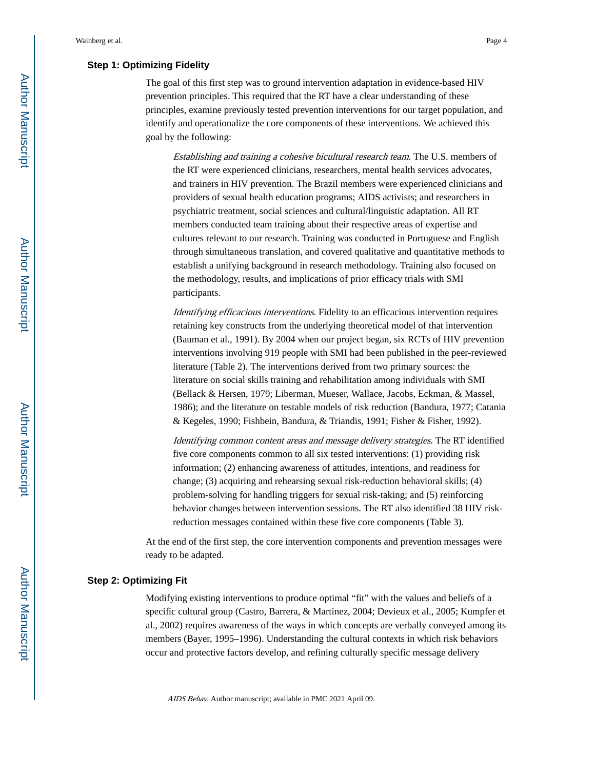#### **Step 1: Optimizing Fidelity**

The goal of this first step was to ground intervention adaptation in evidence-based HIV prevention principles. This required that the RT have a clear understanding of these principles, examine previously tested prevention interventions for our target population, and identify and operationalize the core components of these interventions. We achieved this goal by the following:

Establishing and training a cohesive bicultural research team. The U.S. members of the RT were experienced clinicians, researchers, mental health services advocates, and trainers in HIV prevention. The Brazil members were experienced clinicians and providers of sexual health education programs; AIDS activists; and researchers in psychiatric treatment, social sciences and cultural/linguistic adaptation. All RT members conducted team training about their respective areas of expertise and cultures relevant to our research. Training was conducted in Portuguese and English through simultaneous translation, and covered qualitative and quantitative methods to establish a unifying background in research methodology. Training also focused on the methodology, results, and implications of prior efficacy trials with SMI participants.

Identifying efficacious interventions. Fidelity to an efficacious intervention requires retaining key constructs from the underlying theoretical model of that intervention (Bauman et al., 1991). By 2004 when our project began, six RCTs of HIV prevention interventions involving 919 people with SMI had been published in the peer-reviewed literature (Table 2). The interventions derived from two primary sources: the literature on social skills training and rehabilitation among individuals with SMI (Bellack & Hersen, 1979; Liberman, Mueser, Wallace, Jacobs, Eckman, & Massel, 1986); and the literature on testable models of risk reduction (Bandura, 1977; Catania & Kegeles, 1990; Fishbein, Bandura, & Triandis, 1991; Fisher & Fisher, 1992).

Identifying common content areas and message delivery strategies. The RT identified five core components common to all six tested interventions: (1) providing risk information; (2) enhancing awareness of attitudes, intentions, and readiness for change; (3) acquiring and rehearsing sexual risk-reduction behavioral skills; (4) problem-solving for handling triggers for sexual risk-taking; and (5) reinforcing behavior changes between intervention sessions. The RT also identified 38 HIV riskreduction messages contained within these five core components (Table 3).

At the end of the first step, the core intervention components and prevention messages were ready to be adapted.

#### **Step 2: Optimizing Fit**

Modifying existing interventions to produce optimal "fit" with the values and beliefs of a specific cultural group (Castro, Barrera, & Martinez, 2004; Devieux et al., 2005; Kumpfer et al., 2002) requires awareness of the ways in which concepts are verbally conveyed among its members (Bayer, 1995–1996). Understanding the cultural contexts in which risk behaviors occur and protective factors develop, and refining culturally specific message delivery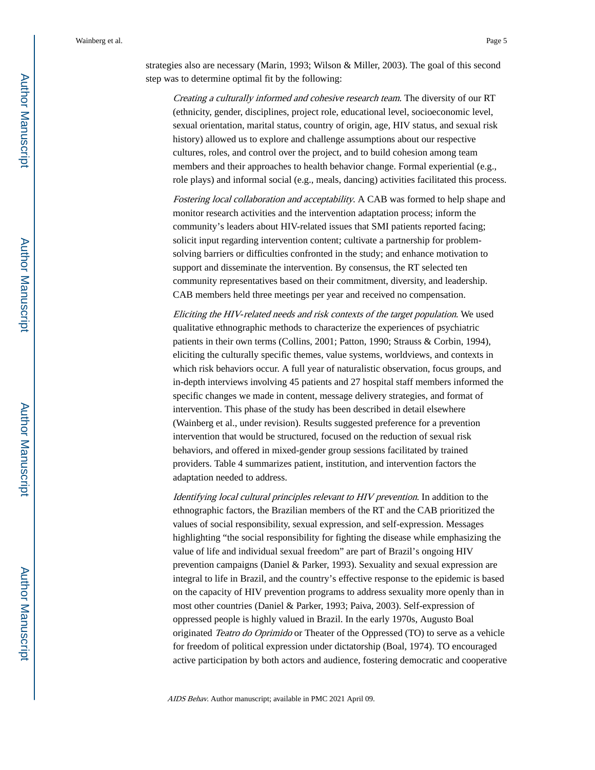Wainberg et al. Page 5

strategies also are necessary (Marin, 1993; Wilson & Miller, 2003). The goal of this second step was to determine optimal fit by the following:

Creating a culturally informed and cohesive research team. The diversity of our RT (ethnicity, gender, disciplines, project role, educational level, socioeconomic level, sexual orientation, marital status, country of origin, age, HIV status, and sexual risk history) allowed us to explore and challenge assumptions about our respective cultures, roles, and control over the project, and to build cohesion among team members and their approaches to health behavior change. Formal experiential (e.g., role plays) and informal social (e.g., meals, dancing) activities facilitated this process.

Fostering local collaboration and acceptability. A CAB was formed to help shape and monitor research activities and the intervention adaptation process; inform the community's leaders about HIV-related issues that SMI patients reported facing; solicit input regarding intervention content; cultivate a partnership for problemsolving barriers or difficulties confronted in the study; and enhance motivation to support and disseminate the intervention. By consensus, the RT selected ten community representatives based on their commitment, diversity, and leadership. CAB members held three meetings per year and received no compensation.

Eliciting the HIV-related needs and risk contexts of the target population. We used qualitative ethnographic methods to characterize the experiences of psychiatric patients in their own terms (Collins, 2001; Patton, 1990; Strauss & Corbin, 1994), eliciting the culturally specific themes, value systems, worldviews, and contexts in which risk behaviors occur. A full year of naturalistic observation, focus groups, and in-depth interviews involving 45 patients and 27 hospital staff members informed the specific changes we made in content, message delivery strategies, and format of intervention. This phase of the study has been described in detail elsewhere (Wainberg et al., under revision). Results suggested preference for a prevention intervention that would be structured, focused on the reduction of sexual risk behaviors, and offered in mixed-gender group sessions facilitated by trained providers. Table 4 summarizes patient, institution, and intervention factors the adaptation needed to address.

Identifying local cultural principles relevant to HIV prevention. In addition to the ethnographic factors, the Brazilian members of the RT and the CAB prioritized the values of social responsibility, sexual expression, and self-expression. Messages highlighting "the social responsibility for fighting the disease while emphasizing the value of life and individual sexual freedom" are part of Brazil's ongoing HIV prevention campaigns (Daniel & Parker, 1993). Sexuality and sexual expression are integral to life in Brazil, and the country's effective response to the epidemic is based on the capacity of HIV prevention programs to address sexuality more openly than in most other countries (Daniel & Parker, 1993; Paiva, 2003). Self-expression of oppressed people is highly valued in Brazil. In the early 1970s, Augusto Boal originated Teatro do Oprimido or Theater of the Oppressed (TO) to serve as a vehicle for freedom of political expression under dictatorship (Boal, 1974). TO encouraged active participation by both actors and audience, fostering democratic and cooperative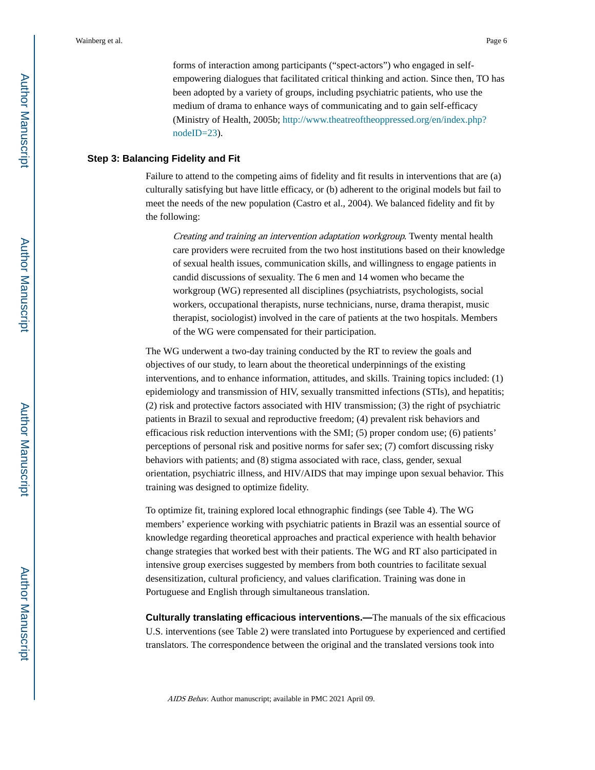forms of interaction among participants ("spect-actors") who engaged in selfempowering dialogues that facilitated critical thinking and action. Since then, TO has been adopted by a variety of groups, including psychiatric patients, who use the medium of drama to enhance ways of communicating and to gain self-efficacy (Ministry of Health, 2005b; [http://www.theatreoftheoppressed.org/en/index.php?](http://www.theatreoftheoppressed.org/en/index.php?nodeID=23) [nodeID=23\)](http://www.theatreoftheoppressed.org/en/index.php?nodeID=23).

#### **Step 3: Balancing Fidelity and Fit**

Failure to attend to the competing aims of fidelity and fit results in interventions that are (a) culturally satisfying but have little efficacy, or (b) adherent to the original models but fail to meet the needs of the new population (Castro et al., 2004). We balanced fidelity and fit by the following:

Creating and training an intervention adaptation workgroup. Twenty mental health care providers were recruited from the two host institutions based on their knowledge of sexual health issues, communication skills, and willingness to engage patients in candid discussions of sexuality. The 6 men and 14 women who became the workgroup (WG) represented all disciplines (psychiatrists, psychologists, social workers, occupational therapists, nurse technicians, nurse, drama therapist, music therapist, sociologist) involved in the care of patients at the two hospitals. Members of the WG were compensated for their participation.

The WG underwent a two-day training conducted by the RT to review the goals and objectives of our study, to learn about the theoretical underpinnings of the existing interventions, and to enhance information, attitudes, and skills. Training topics included: (1) epidemiology and transmission of HIV, sexually transmitted infections (STIs), and hepatitis; (2) risk and protective factors associated with HIV transmission; (3) the right of psychiatric patients in Brazil to sexual and reproductive freedom; (4) prevalent risk behaviors and efficacious risk reduction interventions with the SMI; (5) proper condom use; (6) patients' perceptions of personal risk and positive norms for safer sex; (7) comfort discussing risky behaviors with patients; and (8) stigma associated with race, class, gender, sexual orientation, psychiatric illness, and HIV/AIDS that may impinge upon sexual behavior. This training was designed to optimize fidelity.

To optimize fit, training explored local ethnographic findings (see Table 4). The WG members' experience working with psychiatric patients in Brazil was an essential source of knowledge regarding theoretical approaches and practical experience with health behavior change strategies that worked best with their patients. The WG and RT also participated in intensive group exercises suggested by members from both countries to facilitate sexual desensitization, cultural proficiency, and values clarification. Training was done in Portuguese and English through simultaneous translation.

**Culturally translating efficacious interventions.—**The manuals of the six efficacious U.S. interventions (see Table 2) were translated into Portuguese by experienced and certified translators. The correspondence between the original and the translated versions took into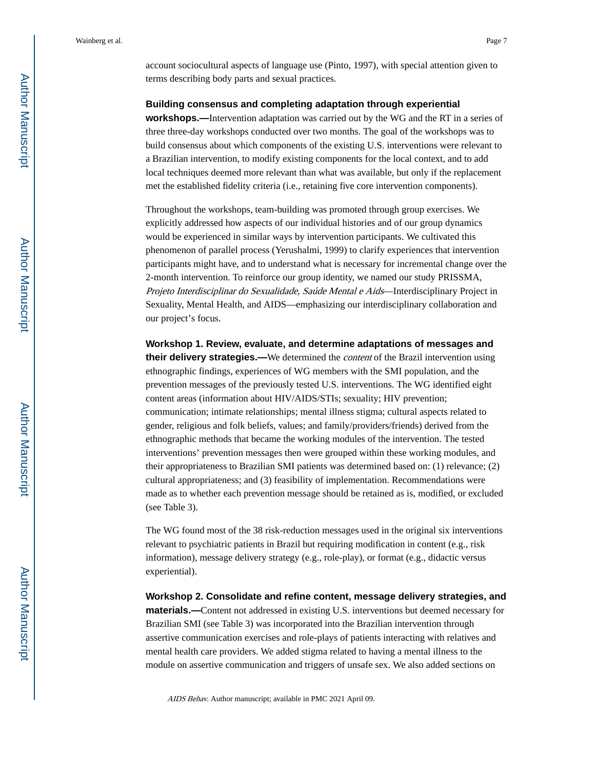Wainberg et al. Page 7

account sociocultural aspects of language use (Pinto, 1997), with special attention given to terms describing body parts and sexual practices.

#### **Building consensus and completing adaptation through experiential**

**workshops.—**Intervention adaptation was carried out by the WG and the RT in a series of three three-day workshops conducted over two months. The goal of the workshops was to build consensus about which components of the existing U.S. interventions were relevant to a Brazilian intervention, to modify existing components for the local context, and to add local techniques deemed more relevant than what was available, but only if the replacement met the established fidelity criteria (i.e., retaining five core intervention components).

Throughout the workshops, team-building was promoted through group exercises. We explicitly addressed how aspects of our individual histories and of our group dynamics would be experienced in similar ways by intervention participants. We cultivated this phenomenon of parallel process (Yerushalmi, 1999) to clarify experiences that intervention participants might have, and to understand what is necessary for incremental change over the 2-month intervention. To reinforce our group identity, we named our study PRISSMA, Projeto Interdisciplinar do Sexualidade, Saúde Mental e Aids—Interdisciplinary Project in Sexuality, Mental Health, and AIDS—emphasizing our interdisciplinary collaboration and our project's focus.

**Workshop 1. Review, evaluate, and determine adaptations of messages and their delivery strategies.—**We determined the *content* of the Brazil intervention using ethnographic findings, experiences of WG members with the SMI population, and the prevention messages of the previously tested U.S. interventions. The WG identified eight content areas (information about HIV/AIDS/STIs; sexuality; HIV prevention; communication; intimate relationships; mental illness stigma; cultural aspects related to gender, religious and folk beliefs, values; and family/providers/friends) derived from the ethnographic methods that became the working modules of the intervention. The tested interventions' prevention messages then were grouped within these working modules, and their appropriateness to Brazilian SMI patients was determined based on: (1) relevance; (2) cultural appropriateness; and (3) feasibility of implementation. Recommendations were made as to whether each prevention message should be retained as is, modified, or excluded (see Table 3).

The WG found most of the 38 risk-reduction messages used in the original six interventions relevant to psychiatric patients in Brazil but requiring modification in content (e.g., risk information), message delivery strategy (e.g., role-play), or format (e.g., didactic versus experiential).

**Workshop 2. Consolidate and refine content, message delivery strategies, and materials.—**Content not addressed in existing U.S. interventions but deemed necessary for Brazilian SMI (see Table 3) was incorporated into the Brazilian intervention through assertive communication exercises and role-plays of patients interacting with relatives and mental health care providers. We added stigma related to having a mental illness to the module on assertive communication and triggers of unsafe sex. We also added sections on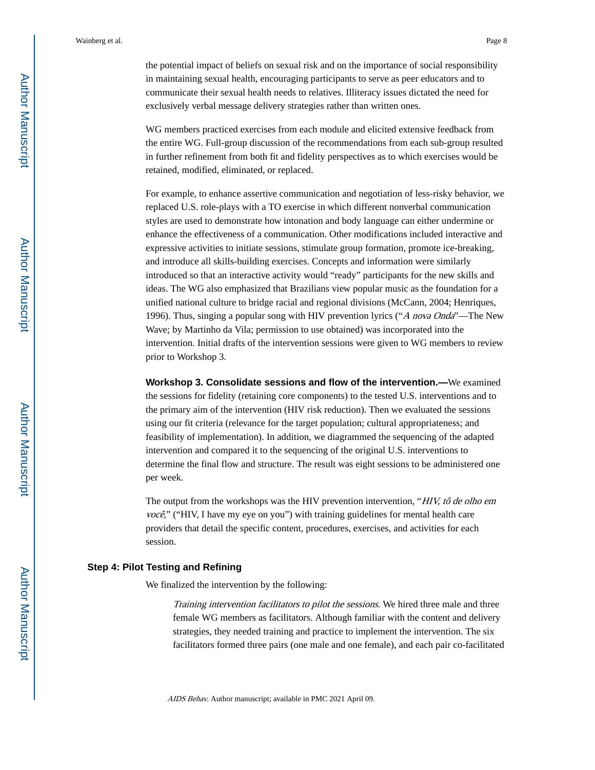the potential impact of beliefs on sexual risk and on the importance of social responsibility in maintaining sexual health, encouraging participants to serve as peer educators and to communicate their sexual health needs to relatives. Illiteracy issues dictated the need for exclusively verbal message delivery strategies rather than written ones.

WG members practiced exercises from each module and elicited extensive feedback from the entire WG. Full-group discussion of the recommendations from each sub-group resulted in further refinement from both fit and fidelity perspectives as to which exercises would be retained, modified, eliminated, or replaced.

For example, to enhance assertive communication and negotiation of less-risky behavior, we replaced U.S. role-plays with a TO exercise in which different nonverbal communication styles are used to demonstrate how intonation and body language can either undermine or enhance the effectiveness of a communication. Other modifications included interactive and expressive activities to initiate sessions, stimulate group formation, promote ice-breaking, and introduce all skills-building exercises. Concepts and information were similarly introduced so that an interactive activity would "ready" participants for the new skills and ideas. The WG also emphasized that Brazilians view popular music as the foundation for a unified national culture to bridge racial and regional divisions (McCann, 2004; Henriques, 1996). Thus, singing a popular song with HIV prevention lyrics ("A nova Onda"—The New Wave; by Martinho da Vila; permission to use obtained) was incorporated into the intervention. Initial drafts of the intervention sessions were given to WG members to review prior to Workshop 3.

**Workshop 3. Consolidate sessions and flow of the intervention.—**We examined the sessions for fidelity (retaining core components) to the tested U.S. interventions and to the primary aim of the intervention (HIV risk reduction). Then we evaluated the sessions using our fit criteria (relevance for the target population; cultural appropriateness; and feasibility of implementation). In addition, we diagrammed the sequencing of the adapted intervention and compared it to the sequencing of the original U.S. interventions to determine the final flow and structure. The result was eight sessions to be administered one per week.

The output from the workshops was the HIV prevention intervention, " $H\ddot{I}V$ , tô de olho em você," ("HIV, I have my eye on you") with training guidelines for mental health care providers that detail the specific content, procedures, exercises, and activities for each session.

#### **Step 4: Pilot Testing and Refining**

We finalized the intervention by the following:

Training intervention facilitators to pilot the sessions. We hired three male and three female WG members as facilitators. Although familiar with the content and delivery strategies, they needed training and practice to implement the intervention. The six facilitators formed three pairs (one male and one female), and each pair co-facilitated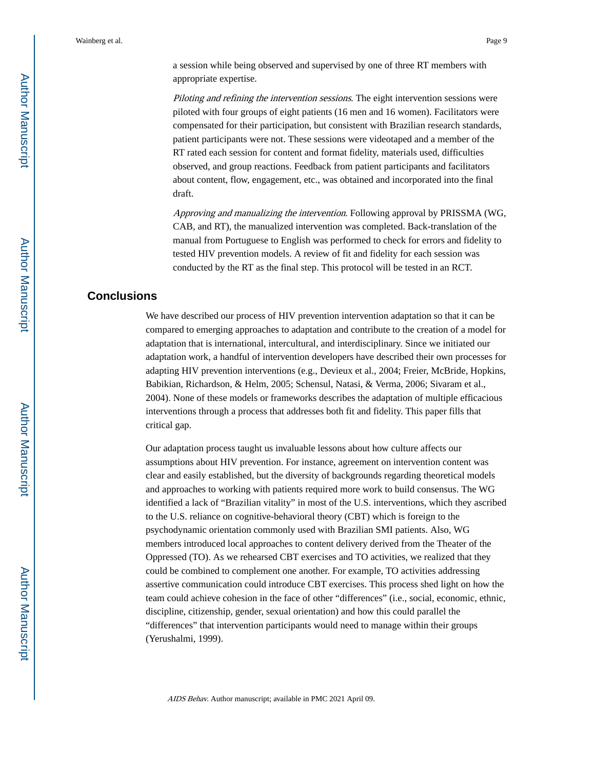Wainberg et al. Page 9

a session while being observed and supervised by one of three RT members with appropriate expertise.

Piloting and refining the intervention sessions. The eight intervention sessions were piloted with four groups of eight patients (16 men and 16 women). Facilitators were compensated for their participation, but consistent with Brazilian research standards, patient participants were not. These sessions were videotaped and a member of the RT rated each session for content and format fidelity, materials used, difficulties observed, and group reactions. Feedback from patient participants and facilitators about content, flow, engagement, etc., was obtained and incorporated into the final draft.

Approving and manualizing the intervention. Following approval by PRISSMA (WG, CAB, and RT), the manualized intervention was completed. Back-translation of the manual from Portuguese to English was performed to check for errors and fidelity to tested HIV prevention models. A review of fit and fidelity for each session was conducted by the RT as the final step. This protocol will be tested in an RCT.

### **Conclusions**

We have described our process of HIV prevention intervention adaptation so that it can be compared to emerging approaches to adaptation and contribute to the creation of a model for adaptation that is international, intercultural, and interdisciplinary. Since we initiated our adaptation work, a handful of intervention developers have described their own processes for adapting HIV prevention interventions (e.g., Devieux et al., 2004; Freier, McBride, Hopkins, Babikian, Richardson, & Helm, 2005; Schensul, Natasi, & Verma, 2006; Sivaram et al., 2004). None of these models or frameworks describes the adaptation of multiple efficacious interventions through a process that addresses both fit and fidelity. This paper fills that critical gap.

Our adaptation process taught us invaluable lessons about how culture affects our assumptions about HIV prevention. For instance, agreement on intervention content was clear and easily established, but the diversity of backgrounds regarding theoretical models and approaches to working with patients required more work to build consensus. The WG identified a lack of "Brazilian vitality" in most of the U.S. interventions, which they ascribed to the U.S. reliance on cognitive-behavioral theory (CBT) which is foreign to the psychodynamic orientation commonly used with Brazilian SMI patients. Also, WG members introduced local approaches to content delivery derived from the Theater of the Oppressed (TO). As we rehearsed CBT exercises and TO activities, we realized that they could be combined to complement one another. For example, TO activities addressing assertive communication could introduce CBT exercises. This process shed light on how the team could achieve cohesion in the face of other "differences" (i.e., social, economic, ethnic, discipline, citizenship, gender, sexual orientation) and how this could parallel the "differences" that intervention participants would need to manage within their groups (Yerushalmi, 1999).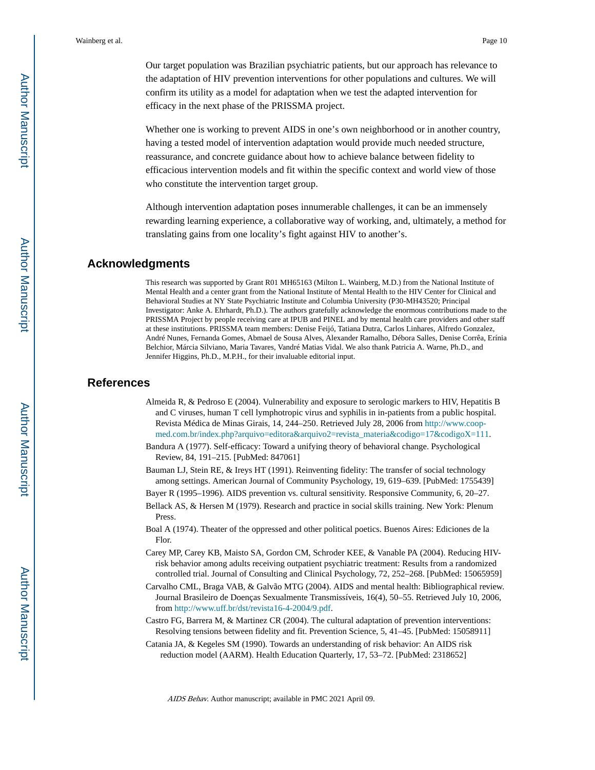Our target population was Brazilian psychiatric patients, but our approach has relevance to the adaptation of HIV prevention interventions for other populations and cultures. We will confirm its utility as a model for adaptation when we test the adapted intervention for efficacy in the next phase of the PRISSMA project.

Whether one is working to prevent AIDS in one's own neighborhood or in another country, having a tested model of intervention adaptation would provide much needed structure, reassurance, and concrete guidance about how to achieve balance between fidelity to efficacious intervention models and fit within the specific context and world view of those who constitute the intervention target group.

Although intervention adaptation poses innumerable challenges, it can be an immensely rewarding learning experience, a collaborative way of working, and, ultimately, a method for translating gains from one locality's fight against HIV to another's.

### **Acknowledgments**

This research was supported by Grant R01 MH65163 (Milton L. Wainberg, M.D.) from the National Institute of Mental Health and a center grant from the National Institute of Mental Health to the HIV Center for Clinical and Behavioral Studies at NY State Psychiatric Institute and Columbia University (P30-MH43520; Principal Investigator: Anke A. Ehrhardt, Ph.D.). The authors gratefully acknowledge the enormous contributions made to the PRISSMA Project by people receiving care at IPUB and PINEL and by mental health care providers and other staff at these institutions. PRISSMA team members: Denise Feijó, Tatiana Dutra, Carlos Linhares, Alfredo Gonzalez, André Nunes, Fernanda Gomes, Abmael de Sousa Alves, Alexander Ramalho, Débora Salles, Denise Corrêa, Erínia Belchior, Márcia Silviano, Maria Tavares, Vandré Matias Vidal. We also thank Patricia A. Warne, Ph.D., and Jennifer Higgins, Ph.D., M.P.H., for their invaluable editorial input.

#### **References**

- Almeida R, & Pedroso E (2004). Vulnerability and exposure to serologic markers to HIV, Hepatitis B and C viruses, human T cell lymphotropic virus and syphilis in in-patients from a public hospital. Revista Médica de Minas Girais, 14, 244–250. Retrieved July 28, 2006 from [http://www.coop](http://www.coop-med.com.br/index.php?arquivo=editora&arquivo2=revista_materia&codigo=17&codigoX=111)[med.com.br/index.php?arquivo=editora&arquivo2=revista\\_materia&codigo=17&codigoX=111](http://www.coop-med.com.br/index.php?arquivo=editora&arquivo2=revista_materia&codigo=17&codigoX=111).
- Bandura A (1977). Self-efficacy: Toward a unifying theory of behavioral change. Psychological Review, 84, 191–215. [PubMed: 847061]
- Bauman LJ, Stein RE, & Ireys HT (1991). Reinventing fidelity: The transfer of social technology among settings. American Journal of Community Psychology, 19, 619–639. [PubMed: 1755439]
- Bayer R (1995–1996). AIDS prevention vs. cultural sensitivity. Responsive Community, 6, 20–27.
- Bellack AS, & Hersen M (1979). Research and practice in social skills training. New York: Plenum Press.
- Boal A (1974). Theater of the oppressed and other political poetics. Buenos Aires: Ediciones de la Flor.
- Carey MP, Carey KB, Maisto SA, Gordon CM, Schroder KEE, & Vanable PA (2004). Reducing HIVrisk behavior among adults receiving outpatient psychiatric treatment: Results from a randomized controlled trial. Journal of Consulting and Clinical Psychology, 72, 252–268. [PubMed: 15065959]
- Carvalho CML, Braga VAB, & Galvão MTG (2004). AIDS and mental health: Bibliographical review. Journal Brasileiro de Doenças Sexualmente Transmissíveis, 16(4), 50–55. Retrieved July 10, 2006, from <http://www.uff.br/dst/revista16-4-2004/9.pdf>.
- Castro FG, Barrera M, & Martinez CR (2004). The cultural adaptation of prevention interventions: Resolving tensions between fidelity and fit. Prevention Science, 5, 41–45. [PubMed: 15058911]
- Catania JA, & Kegeles SM (1990). Towards an understanding of risk behavior: An AIDS risk reduction model (AARM). Health Education Quarterly, 17, 53–72. [PubMed: 2318652]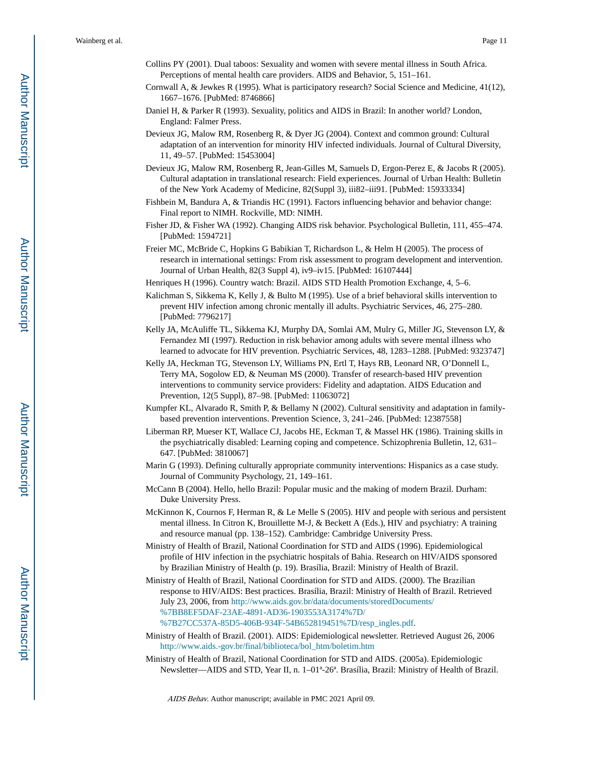- Collins PY (2001). Dual taboos: Sexuality and women with severe mental illness in South Africa. Perceptions of mental health care providers. AIDS and Behavior, 5, 151–161.
- Cornwall A, & Jewkes R (1995). What is participatory research? Social Science and Medicine, 41(12), 1667–1676. [PubMed: 8746866]
- Daniel H, & Parker R (1993). Sexuality, politics and AIDS in Brazil: In another world? London, England: Falmer Press.
- Devieux JG, Malow RM, Rosenberg R, & Dyer JG (2004). Context and common ground: Cultural adaptation of an intervention for minority HIV infected individuals. Journal of Cultural Diversity, 11, 49–57. [PubMed: 15453004]
- Devieux JG, Malow RM, Rosenberg R, Jean-Gilles M, Samuels D, Ergon-Perez E, & Jacobs R (2005). Cultural adaptation in translational research: Field experiences. Journal of Urban Health: Bulletin of the New York Academy of Medicine, 82(Suppl 3), iii82–iii91. [PubMed: 15933334]
- Fishbein M, Bandura A, & Triandis HC (1991). Factors influencing behavior and behavior change: Final report to NIMH. Rockville, MD: NIMH.
- Fisher JD, & Fisher WA (1992). Changing AIDS risk behavior. Psychological Bulletin, 111, 455–474. [PubMed: 1594721]
- Freier MC, McBride C, Hopkins G Babikian T, Richardson L, & Helm H (2005). The process of research in international settings: From risk assessment to program development and intervention. Journal of Urban Health, 82(3 Suppl 4), iv9–iv15. [PubMed: 16107444]
- Henriques H (1996). Country watch: Brazil. AIDS STD Health Promotion Exchange, 4, 5–6.
- Kalichman S, Sikkema K, Kelly J, & Bulto M (1995). Use of a brief behavioral skills intervention to prevent HIV infection among chronic mentally ill adults. Psychiatric Services, 46, 275–280. [PubMed: 7796217]
- Kelly JA, McAuliffe TL, Sikkema KJ, Murphy DA, Somlai AM, Mulry G, Miller JG, Stevenson LY, & Fernandez MI (1997). Reduction in risk behavior among adults with severe mental illness who learned to advocate for HIV prevention. Psychiatric Services, 48, 1283–1288. [PubMed: 9323747]
- Kelly JA, Heckman TG, Stevenson LY, Williams PN, Ertl T, Hays RB, Leonard NR, O'Donnell L, Terry MA, Sogolow ED, & Neuman MS (2000). Transfer of research-based HIV prevention interventions to community service providers: Fidelity and adaptation. AIDS Education and Prevention, 12(5 Suppl), 87–98. [PubMed: 11063072]
- Kumpfer KL, Alvarado R, Smith P, & Bellamy N (2002). Cultural sensitivity and adaptation in familybased prevention interventions. Prevention Science, 3, 241–246. [PubMed: 12387558]
- Liberman RP, Mueser KT, Wallace CJ, Jacobs HE, Eckman T, & Massel HK (1986). Training skills in the psychiatrically disabled: Learning coping and competence. Schizophrenia Bulletin, 12, 631– 647. [PubMed: 3810067]
- Marin G (1993). Defining culturally appropriate community interventions: Hispanics as a case study. Journal of Community Psychology, 21, 149–161.
- McCann B (2004). Hello, hello Brazil: Popular music and the making of modern Brazil. Durham: Duke University Press.
- McKinnon K, Cournos F, Herman R, & Le Melle S (2005). HIV and people with serious and persistent mental illness. In Citron K, Brouillette M-J, & Beckett A (Eds.), HIV and psychiatry: A training and resource manual (pp. 138–152). Cambridge: Cambridge University Press.
- Ministry of Health of Brazil, National Coordination for STD and AIDS (1996). Epidemiological profile of HIV infection in the psychiatric hospitals of Bahia. Research on HIV/AIDS sponsored by Brazilian Ministry of Health (p. 19). Brasília, Brazil: Ministry of Health of Brazil.
- Ministry of Health of Brazil, National Coordination for STD and AIDS. (2000). The Brazilian response to HIV/AIDS: Best practices. Brasília, Brazil: Ministry of Health of Brazil. Retrieved July 23, 2006, from [http://www.aids.gov.br/data/documents/storedDocuments/](http://www.aids.gov.br/data/documents/storedDocuments/%7BB8EF5DAF-23AE-4891-AD36-1903553A3174%7D/%7B27CC537A-85D5-406B-934F-54B652819451%7D/resp_ingles.pdf) [%7BB8EF5DAF-23AE-4891-AD36-1903553A3174%7D/](http://www.aids.gov.br/data/documents/storedDocuments/%7BB8EF5DAF-23AE-4891-AD36-1903553A3174%7D/%7B27CC537A-85D5-406B-934F-54B652819451%7D/resp_ingles.pdf) [%7B27CC537A-85D5-406B-934F-54B652819451%7D/resp\\_ingles.pdf.](http://www.aids.gov.br/data/documents/storedDocuments/%7BB8EF5DAF-23AE-4891-AD36-1903553A3174%7D/%7B27CC537A-85D5-406B-934F-54B652819451%7D/resp_ingles.pdf)
- Ministry of Health of Brazil. (2001). AIDS: Epidemiological newsletter. Retrieved August 26, 2006 [http://www.aids.-gov.br/final/biblioteca/bol\\_htm/boletim.htm](http://www.aids.gov.br/final/biblioteca/bol_htm/boletim.htm)
- Ministry of Health of Brazil, National Coordination for STD and AIDS. (2005a). Epidemiologic Newsletter—AIDS and STD, Year II, n. 1–01ª-26ª. Brasília, Brazil: Ministry of Health of Brazil.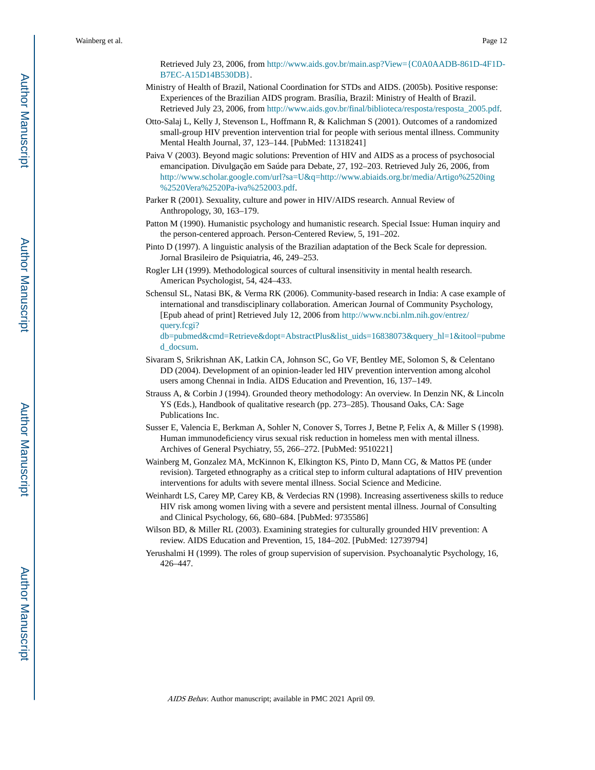Retrieved July 23, 2006, from [http://www.aids.gov.br/main.asp?View={C0A0AADB-861D-4F1D-](http://www.aids.gov.br/main.asp?View={C0A0AADB-861D-4F1D-B7EC-A15D14B530DB})[B7EC-A15D14B530DB}](http://www.aids.gov.br/main.asp?View={C0A0AADB-861D-4F1D-B7EC-A15D14B530DB}).

- Ministry of Health of Brazil, National Coordination for STDs and AIDS. (2005b). Positive response: Experiences of the Brazilian AIDS program. Brasília, Brazil: Ministry of Health of Brazil. Retrieved July 23, 2006, from [http://www.aids.gov.br/final/biblioteca/resposta/resposta\\_2005.pdf](http://www.aids.gov.br/final/biblioteca/resposta/resposta_2005.pdf).
- Otto-Salaj L, Kelly J, Stevenson L, Hoffmann R, & Kalichman S (2001). Outcomes of a randomized small-group HIV prevention intervention trial for people with serious mental illness. Community Mental Health Journal, 37, 123–144. [PubMed: 11318241]
- Paiva V (2003). Beyond magic solutions: Prevention of HIV and AIDS as a process of psychosocial emancipation. Divulgação em Saúde para Debate, 27, 192–203. Retrieved July 26, 2006, from [http://www.scholar.google.com/url?sa=U&q=http://www.abiaids.org.br/media/Artigo%2520ing](http://www.scholar.google.com/url?sa=U&q=http://www.abiaids.org.br/media/Artigo%2520ing%2520Vera%2520Pa-iva%252003.pdf) [%2520Vera%2520Pa-iva%252003.pdf.](http://www.scholar.google.com/url?sa=U&q=http://www.abiaids.org.br/media/Artigo%2520ing%2520Vera%2520Pa-iva%252003.pdf)
- Parker R (2001). Sexuality, culture and power in HIV/AIDS research. Annual Review of Anthropology, 30, 163–179.
- Patton M (1990). Humanistic psychology and humanistic research. Special Issue: Human inquiry and the person-centered approach. Person-Centered Review, 5, 191–202.
- Pinto D (1997). A linguistic analysis of the Brazilian adaptation of the Beck Scale for depression. Jornal Brasileiro de Psiquiatria, 46, 249–253.
- Rogler LH (1999). Methodological sources of cultural insensitivity in mental health research. American Psychologist, 54, 424–433.
- Schensul SL, Natasi BK, & Verma RK (2006). Community-based research in India: A case example of international and transdisciplinary collaboration. American Journal of Community Psychology, [Epub ahead of print] Retrieved July 12, 2006 from [http://www.ncbi.nlm.nih.gov/entrez/](http://www.ncbi.nlm.nih.gov/entrez/query.fcgi?db=pubmed&cmd=Retrieve&dopt=AbstractPlus&list_uids=16838073&query_hl=1&itool=pubmed_docsum) [query.fcgi?](http://www.ncbi.nlm.nih.gov/entrez/query.fcgi?db=pubmed&cmd=Retrieve&dopt=AbstractPlus&list_uids=16838073&query_hl=1&itool=pubmed_docsum)

[db=pubmed&cmd=Retrieve&dopt=AbstractPlus&list\\_uids=16838073&query\\_hl=1&itool=pubme](http://www.ncbi.nlm.nih.gov/entrez/query.fcgi?db=pubmed&cmd=Retrieve&dopt=AbstractPlus&list_uids=16838073&query_hl=1&itool=pubmed_docsum) [d\\_docsum.](http://www.ncbi.nlm.nih.gov/entrez/query.fcgi?db=pubmed&cmd=Retrieve&dopt=AbstractPlus&list_uids=16838073&query_hl=1&itool=pubmed_docsum)

- Sivaram S, Srikrishnan AK, Latkin CA, Johnson SC, Go VF, Bentley ME, Solomon S, & Celentano DD (2004). Development of an opinion-leader led HIV prevention intervention among alcohol users among Chennai in India. AIDS Education and Prevention, 16, 137–149.
- Strauss A, & Corbin J (1994). Grounded theory methodology: An overview. In Denzin NK, & Lincoln YS (Eds.), Handbook of qualitative research (pp. 273–285). Thousand Oaks, CA: Sage Publications Inc.
- Susser E, Valencia E, Berkman A, Sohler N, Conover S, Torres J, Betne P, Felix A, & Miller S (1998). Human immunodeficiency virus sexual risk reduction in homeless men with mental illness. Archives of General Psychiatry, 55, 266–272. [PubMed: 9510221]
- Wainberg M, Gonzalez MA, McKinnon K, Elkington KS, Pinto D, Mann CG, & Mattos PE (under revision). Targeted ethnography as a critical step to inform cultural adaptations of HIV prevention interventions for adults with severe mental illness. Social Science and Medicine.
- Weinhardt LS, Carey MP, Carey KB, & Verdecias RN (1998). Increasing assertiveness skills to reduce HIV risk among women living with a severe and persistent mental illness. Journal of Consulting and Clinical Psychology, 66, 680–684. [PubMed: 9735586]
- Wilson BD, & Miller RL (2003). Examining strategies for culturally grounded HIV prevention: A review. AIDS Education and Prevention, 15, 184–202. [PubMed: 12739794]
- Yerushalmi H (1999). The roles of group supervision of supervision. Psychoanalytic Psychology, 16, 426–447.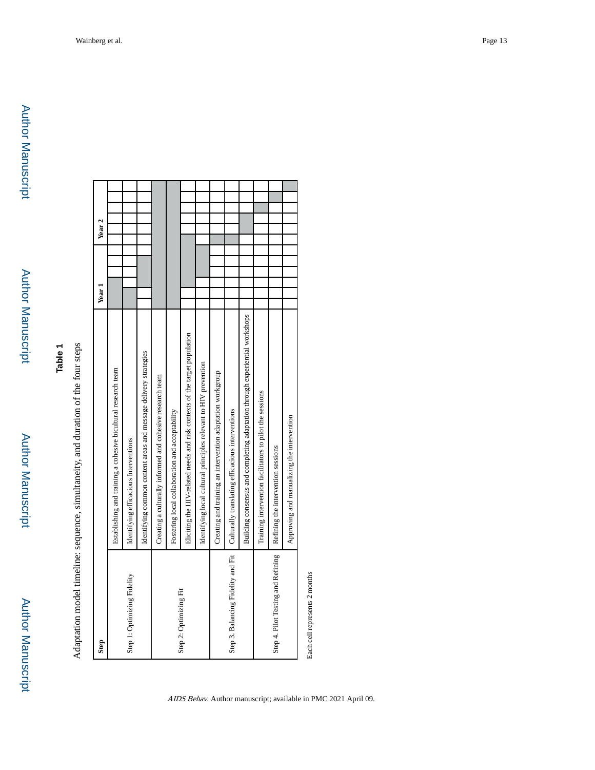**Table 1**

Adaptation model timeline: sequence, simultaneity, and duration of the four steps Adaptation model timeline: sequence, simultaneity, and duration of the four steps

| Step 1: Optimizing Fidelity        |                                                                             |  |
|------------------------------------|-----------------------------------------------------------------------------|--|
|                                    | Establishing and training a cohesive bicultural research team               |  |
|                                    | Identifying efficacious Interventions                                       |  |
|                                    | ldentifying common content areas and message delivery strategies            |  |
|                                    | Creating a culturally informed and cohesive research team                   |  |
|                                    | Fostering local collaboration and acceptability                             |  |
| Step 2: Optimizing Fit             | Eliciting the HIV-related needs and risk contexts of the target population  |  |
|                                    | Identifying local cultural principles relevant to HIV prevention            |  |
|                                    | Creating and training an intervention adaptation workgroup                  |  |
| Step 3. Balancing Fidelity and Fit | Culturally translating efficacious interventions                            |  |
|                                    | Building consensus and completing adaptation through experiential workshops |  |
|                                    | Training intervention facilitators to pilot the sessions                    |  |
| Step 4. Pilot Testing and Refining | Refining the intervention sessions                                          |  |
|                                    | Approving and manualizing the intervention                                  |  |

Each cell represents 2 months Each cell represents 2 months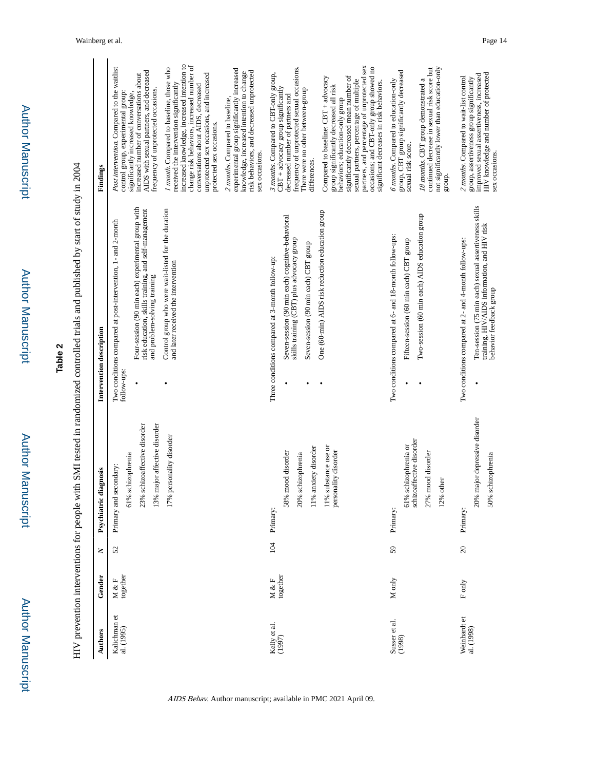| ĺ      |
|--------|
|        |
| I<br>i |
| j      |

Author Manuscript

Author Manuscript

| Table 2 |  |
|---------|--|
|         |  |
|         |  |
|         |  |

HIV prevention interventions for people with SMI tested in randomized controlled trials and published by start of study in 2004 HIV prevention interventions for people with SMI tested in randomized controlled trials and published by start of study in 2004

| <b>Authors</b>             | Gender                                                                     | $\geq$          | Psychiatric diagnosis                                                                                                                        | Intervention description                                                                                                                                                                                                                                                          | Findings                                                                                                                                                                                                                                                                                                                                                                                                                                                                                                                                                           |
|----------------------------|----------------------------------------------------------------------------|-----------------|----------------------------------------------------------------------------------------------------------------------------------------------|-----------------------------------------------------------------------------------------------------------------------------------------------------------------------------------------------------------------------------------------------------------------------------------|--------------------------------------------------------------------------------------------------------------------------------------------------------------------------------------------------------------------------------------------------------------------------------------------------------------------------------------------------------------------------------------------------------------------------------------------------------------------------------------------------------------------------------------------------------------------|
| Kalichman et<br>al. (1995) | $\begin{array}{l} \text{M} \ \& \ \text{F} \\ \text{together} \end{array}$ | 25              | 13% major affective disorder<br>23% schizoaffective disorder<br>personality disorder<br>61% schizophrenia<br>Primary and secondary:<br>17% p | Four-session (90 min each) experimental group with<br>risk education, skills training, and self-management<br>Control group who were wait-listed for the duration<br>I'wo conditions compared at post-intervention, 1- and 2-month<br>and problem-solving training<br>follow-ups: | Post intervention. Compared to the waitlist<br>I month. Compared to baseline, those who<br>AIDS with sexual partners, and decreased<br>increased number of conversations about<br>frequency of unprotected occasions.<br>significantly increased knowledge,<br>control group, experimental group:                                                                                                                                                                                                                                                                  |
|                            |                                                                            |                 |                                                                                                                                              | and later received the intervention                                                                                                                                                                                                                                               | increased knowledge, increased intention to<br>change risk behaviors, increased number of<br>experimental group significantly increased<br>risk behaviors, and decreased unprotected<br>knowledge, increased intention to change<br>unprotected sex occasions, and increased<br>conversations about AIDS, decreased<br>received the intervention significantly<br>2 months. Compared to baseline,<br>protected sex occasions.<br>sex occasions.                                                                                                                    |
| Kelly et al.<br>(1997)     | together<br>$M \& F$                                                       | 104             | 11% substance use or<br>11% anxiety disorder<br>personality disorder<br>58% mood disorder<br>20% schizophrenia<br>Primary:                   | One (60-min) AIDS risk reduction education group<br>Seven-session (90 min each) cognitive-behavioral<br>skills training (CBT) plus advocacy group<br>Seven-session (90 min each) CBT group<br>Three conditions compared at 3-month follow-up:                                     | partners, and percentage of unprotected sex<br>occasions; and CBT-only group showed no<br>frequency of unprotected sexual occasions.<br>3 months. Compared to CBT-only group,<br>significantly decreased mean number of<br>Compared to baseline: CBT + advocacy<br>sexual partners, percentage of multiple<br>significant decreases in risk behaviors.<br>group significantly decreased all risk<br>CBT + advocacy group significantly<br>There were no other between-group<br>decreased number of partners and<br>behaviors; education-only group<br>differences. |
| Susser et al.<br>(1998)    | M only                                                                     | 59              | schizoaffective disorder<br>61% schizophrenia or<br>27% mood disorder<br>12% other<br>Primary:                                               | Two-session (60 min each) AIDS education group<br>Two conditions compared at 6- and 18-month follow-ups:<br>Fifteen-session (60 min each) CBT group                                                                                                                               | not significantly lower than education-only<br>continued decrease in sexual risk score but<br>group, CBT group significantly decreased<br>6 months. Compared to education-only<br>18 months. CBT group demonstrated a<br>sexual risk score.<br>group.                                                                                                                                                                                                                                                                                                              |
| Weinhardt et<br>al. (1998) | ${\rm F}$ only                                                             | $\overline{20}$ | 20% major depressive disorder<br>50% schizophrenia<br>Primary:                                                                               | Ten-session (75 min each) sexual assertiveness skills<br>training, ${\rm HIV/ALDS}$ information, and<br>${\rm HIV}$ risk<br>Two conditions compared at 2- and 4-month follow-ups:<br>behavior feedback group                                                                      | HIV knowledge and number of protected<br>improved sexual assertiveness, increased<br>2 months. Compared to wait-list control<br>group, assertiveness group significantly<br>sex occasions.                                                                                                                                                                                                                                                                                                                                                                         |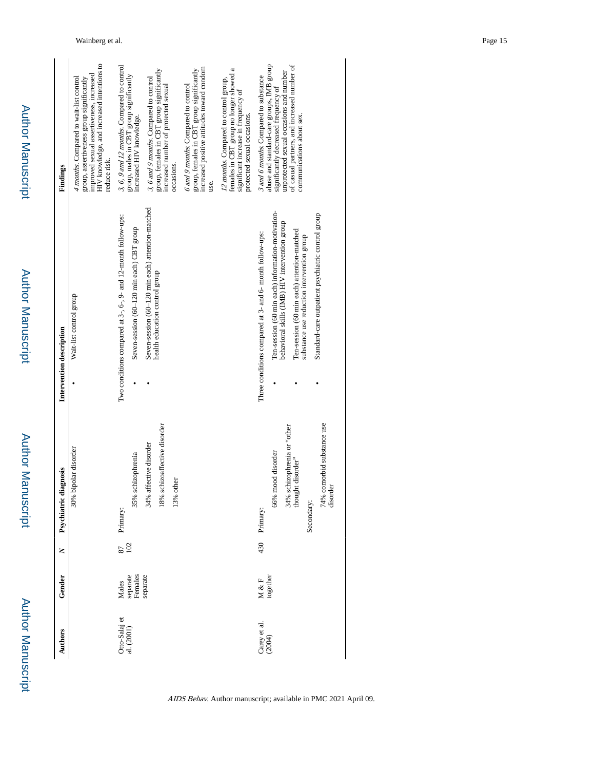Autl

| Þ<br>Ï<br>i<br>ï |
|------------------|
|                  |
|                  |
|                  |
|                  |
| ļ                |
| ۱<br>٠<br>ī      |
|                  |
|                  |

Author Manuscript

Author Manuscript

| Authors                     | Gender                       | ≳         | Psychiatric diagnosis                                                          | Intervention description                                                                                                                    | Findings                                                                                                                                                                                      |
|-----------------------------|------------------------------|-----------|--------------------------------------------------------------------------------|---------------------------------------------------------------------------------------------------------------------------------------------|-----------------------------------------------------------------------------------------------------------------------------------------------------------------------------------------------|
|                             |                              |           | bipolar disorder<br>30%                                                        | Wait-list control group                                                                                                                     | HIV knowledge, and increased intentions to<br>improved sexual assertiveness, increased<br>4 months. Compared to wait-list control<br>group, assertiveness group significantly<br>reduce risk. |
| Otto-Salaj et<br>al. (2001) | Females<br>separate<br>Males | 87<br>102 | schizophrenia<br>35%<br>Primary:                                               | Two conditions compared at 3-, 6-, 9- and 12-month follow-ups:<br>Seven-session (60-120 min each) CBT group                                 | 3, 6, 9 and 12 months. Compared to control<br>group, males in CBT group significantly<br>increased HIV knowledge.                                                                             |
|                             | separate                     |           | schizoaffective disorder<br>affective disorder<br>other<br>34%<br>18%<br>13%   | Seven-session (60-120 min each) attention-matched<br>health education control group                                                         | group, females in CBT group significantly<br>3, 6 and 9 months. Compared to control<br>increased number of protected sexual<br>occasions.                                                     |
|                             |                              |           |                                                                                |                                                                                                                                             | increased positive attitudes toward condom<br>group, females in CBT group significantly<br>6 and 9 months. Compared to control<br>use.                                                        |
|                             |                              |           |                                                                                |                                                                                                                                             | females in CBT group no longer showed a<br>12 months. Compared to control group,<br>significant increase in frequency of<br>protected sexual occasions.                                       |
| Carey et al.<br>(2004)      | together<br>M & F            |           | mood disorder<br>66%<br>430 Primary:                                           | Ten-session (60 min each) information-motivation-<br>Three conditions compared at 3- and 6- month follow-ups:                               | abuse and standard-care groups, IMB group<br>3 and 6 months. Compared to substance<br>significantly decreased frequency of                                                                    |
|                             |                              |           | schizophrenia or "other<br>34% schizophreni<br>thought disorder"<br>Secondary: | behavioral skills (IMB) HIV intervention group<br>Ten-session (60 min each) attention-matched<br>substance use reduction intervention group | of casual partners, and increased number of<br>unprotected sexual occasions and number<br>communications about sex.                                                                           |
|                             |                              |           | comorbid substance use<br>74% con<br>disorder                                  | Standard-care outpatient psychiatric control group                                                                                          |                                                                                                                                                                                               |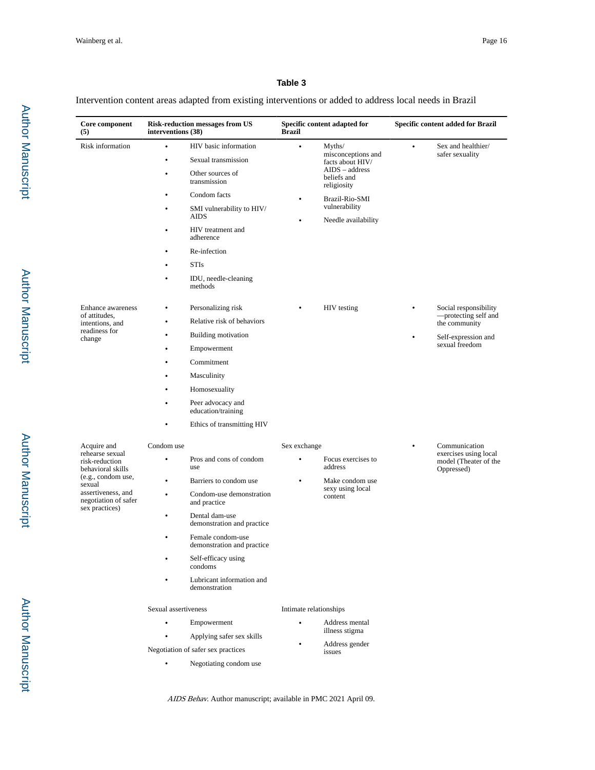#### **Table 3**

Intervention content areas adapted from existing interventions or added to address local needs in Brazil

| Core component<br>(5)                                        | interventions (38)   | <b>Risk-reduction messages from US</b>          | <b>Brazil</b>          | Specific content adapted for                   |           | Specific content added for Brazil                            |
|--------------------------------------------------------------|----------------------|-------------------------------------------------|------------------------|------------------------------------------------|-----------|--------------------------------------------------------------|
| <b>Risk information</b>                                      | $\bullet$            | HIV basic information                           | $\bullet$              | Myths/                                         | $\bullet$ | Sex and healthier/                                           |
|                                                              |                      | Sexual transmission                             |                        | misconceptions and<br>facts about HIV/         |           | safer sexuality                                              |
|                                                              | ٠                    | Other sources of<br>transmission                |                        | $AIDS - address$<br>beliefs and<br>religiosity |           |                                                              |
|                                                              |                      | Condom facts                                    | ۰                      | Brazil-Rio-SMI                                 |           |                                                              |
|                                                              |                      | SMI vulnerability to HIV/<br><b>AIDS</b>        | $\bullet$              | vulnerability<br>Needle availability           |           |                                                              |
|                                                              |                      | HIV treatment and<br>adherence                  |                        |                                                |           |                                                              |
|                                                              |                      | Re-infection                                    |                        |                                                |           |                                                              |
|                                                              |                      | <b>STIs</b>                                     |                        |                                                |           |                                                              |
|                                                              | $\bullet$            | IDU, needle-cleaning<br>methods                 |                        |                                                |           |                                                              |
| Enhance awareness<br>of attitudes,                           |                      | Personalizing risk                              |                        | <b>HIV</b> testing                             | $\bullet$ | Social responsibility<br>- protecting self and               |
| intentions, and                                              |                      | Relative risk of behaviors                      |                        |                                                |           | the community                                                |
| readiness for<br>change                                      |                      | <b>Building motivation</b>                      |                        |                                                | ٠         | Self-expression and<br>sexual freedom                        |
|                                                              |                      | Empowerment                                     |                        |                                                |           |                                                              |
|                                                              |                      | Commitment                                      |                        |                                                |           |                                                              |
|                                                              |                      | Masculinity                                     |                        |                                                |           |                                                              |
|                                                              |                      | Homosexuality                                   |                        |                                                |           |                                                              |
|                                                              | ٠                    | Peer advocacy and<br>education/training         |                        |                                                |           |                                                              |
|                                                              |                      | Ethics of transmitting HIV                      |                        |                                                |           |                                                              |
| Acquire and                                                  | Condom use           |                                                 | Sex exchange           |                                                |           | Communication                                                |
| rehearse sexual<br>risk-reduction<br>behavioral skills       | $\bullet$            | Pros and cons of condom<br>use                  | ۰                      | Focus exercises to<br>address                  |           | exercises using local<br>model (Theater of the<br>Oppressed) |
| (e.g., condom use,<br>sexual                                 |                      | Barriers to condom use                          |                        | Make condom use                                |           |                                                              |
| assertiveness, and<br>negotiation of safer<br>sex practices) |                      | Condom-use demonstration<br>and practice        |                        | sexy using local<br>content                    |           |                                                              |
|                                                              |                      | Dental dam-use<br>demonstration and practice    |                        |                                                |           |                                                              |
|                                                              |                      | Female condom-use<br>demonstration and practice |                        |                                                |           |                                                              |
|                                                              | $\bullet$            | Self-efficacy using<br>condoms                  |                        |                                                |           |                                                              |
|                                                              |                      | Lubricant information and<br>demonstration      |                        |                                                |           |                                                              |
|                                                              | Sexual assertiveness |                                                 | Intimate relationships |                                                |           |                                                              |
|                                                              |                      | Empowerment                                     | ۰                      | Address mental                                 |           |                                                              |
|                                                              | $\bullet$            | Applying safer sex skills                       |                        | illness stigma<br>Address gender               |           |                                                              |
|                                                              |                      | Negotiation of safer sex practices              |                        | issues                                         |           |                                                              |
|                                                              |                      | Negotiating condom use                          |                        |                                                |           |                                                              |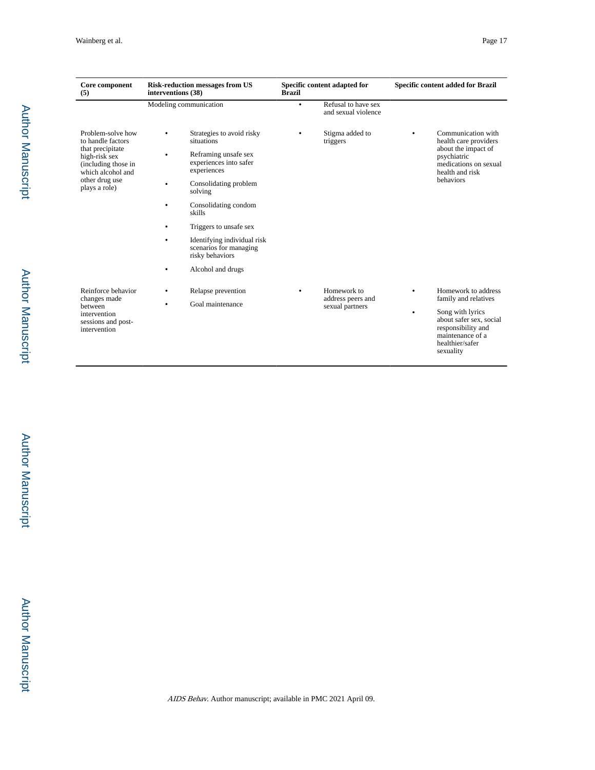| Core component<br>(5)                                                                                                                                      | <b>Risk-reduction messages from US</b><br>interventions (38)                                                                                                                                                                                                                                                             | Specific content adapted for<br><b>Brazil</b>           | <b>Specific content added for Brazil</b>                                                                                                                                               |
|------------------------------------------------------------------------------------------------------------------------------------------------------------|--------------------------------------------------------------------------------------------------------------------------------------------------------------------------------------------------------------------------------------------------------------------------------------------------------------------------|---------------------------------------------------------|----------------------------------------------------------------------------------------------------------------------------------------------------------------------------------------|
|                                                                                                                                                            | Modeling communication                                                                                                                                                                                                                                                                                                   | Refusal to have sex<br>$\bullet$<br>and sexual violence |                                                                                                                                                                                        |
| Problem-solve how<br>to handle factors<br>that precipitate<br>high-risk sex<br>(including those in<br>which alcohol and<br>other drug use<br>plays a role) | Strategies to avoid risky<br>situations<br>Reframing unsafe sex<br>٠<br>experiences into safer<br>experiences<br>Consolidating problem<br>٠<br>solving<br>Consolidating condom<br>skills<br>Triggers to unsafe sex<br>Identifying individual risk<br>٠<br>scenarios for managing<br>risky behaviors<br>Alcohol and drugs | Stigma added to<br>triggers                             | Communication with<br>٠<br>health care providers<br>about the impact of<br>psychiatric<br>medications on sexual<br>health and risk<br>behaviors                                        |
| Reinforce behavior<br>changes made<br>hetween<br>intervention<br>sessions and post-<br>intervention                                                        | Relapse prevention<br>Goal maintenance                                                                                                                                                                                                                                                                                   | Homework to<br>address peers and<br>sexual partners     | Homework to address<br>٠<br>family and relatives<br>Song with lyrics<br>$\bullet$<br>about safer sex, social<br>responsibility and<br>maintenance of a<br>healthier/safer<br>sexuality |